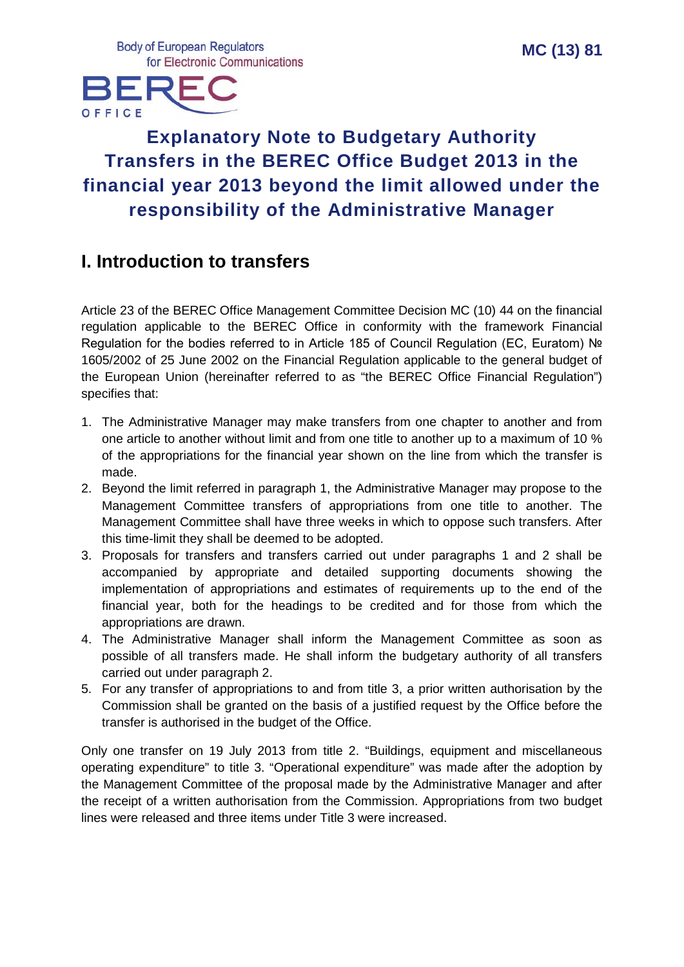**Body of European Regulators** for Electronic Communications



# **Explanatory Note to Budgetary Authority Transfers in the BEREC Office Budget 2013 in the financial year 2013 beyond the limit allowed under the responsibility of the Administrative Manager**

## **I. Introduction to transfers**

Article 23 of the BEREC Office Management Committee Decision MC (10) 44 on the financial regulation applicable to the BEREC Office in conformity with the framework Financial Regulation for the bodies referred to in Article 185 of Council Regulation (EC, Euratom) № 1605/2002 of 25 June 2002 on the Financial Regulation applicable to the general budget of the European Union (hereinafter referred to as "the BEREC Office Financial Regulation") specifies that:

- 1. The Administrative Manager may make transfers from one chapter to another and from one article to another without limit and from one title to another up to a maximum of 10 % of the appropriations for the financial year shown on the line from which the transfer is made.
- 2. Beyond the limit referred in paragraph 1, the Administrative Manager may propose to the Management Committee transfers of appropriations from one title to another. The Management Committee shall have three weeks in which to oppose such transfers. After this time-limit they shall be deemed to be adopted.
- 3. Proposals for transfers and transfers carried out under paragraphs 1 and 2 shall be accompanied by appropriate and detailed supporting documents showing the implementation of appropriations and estimates of requirements up to the end of the financial year, both for the headings to be credited and for those from which the appropriations are drawn.
- 4. The Administrative Manager shall inform the Management Committee as soon as possible of all transfers made. He shall inform the budgetary authority of all transfers carried out under paragraph 2.
- 5. For any transfer of appropriations to and from title 3, a prior written authorisation by the Commission shall be granted on the basis of a justified request by the Office before the transfer is authorised in the budget of the Office.

Only one transfer on 19 July 2013 from title 2. "Buildings, equipment and miscellaneous operating expenditure" to title 3. "Operational expenditure" was made after the adoption by the Management Committee of the proposal made by the Administrative Manager and after the receipt of a written authorisation from the Commission. Appropriations from two budget lines were released and three items under Title 3 were increased.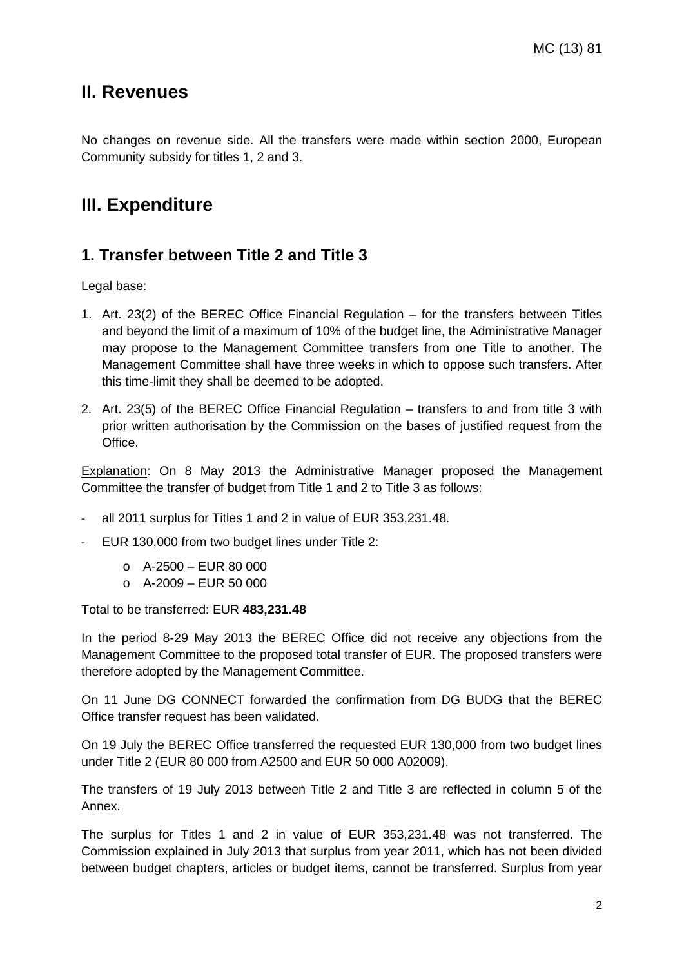### **II. Revenues**

No changes on revenue side. All the transfers were made within section 2000, European Community subsidy for titles 1, 2 and 3.

## **III. Expenditure**

### **1. Transfer between Title 2 and Title 3**

Legal base:

- 1. Art. 23(2) of the BEREC Office Financial Regulation for the transfers between Titles and beyond the limit of a maximum of 10% of the budget line, the Administrative Manager may propose to the Management Committee transfers from one Title to another. The Management Committee shall have three weeks in which to oppose such transfers. After this time-limit they shall be deemed to be adopted.
- 2. Art. 23(5) of the BEREC Office Financial Regulation transfers to and from title 3 with prior written authorisation by the Commission on the bases of justified request from the Office.

Explanation: On 8 May 2013 the Administrative Manager proposed the Management Committee the transfer of budget from Title 1 and 2 to Title 3 as follows:

- all 2011 surplus for Titles 1 and 2 in value of EUR 353,231.48.
- EUR 130,000 from two budget lines under Title 2:
	- $O$  A-2500 EUR 80 000
	- $O$  A-2009 EUR 50 000

Total to be transferred: EUR **483,231.48**

In the period 8-29 May 2013 the BEREC Office did not receive any objections from the Management Committee to the proposed total transfer of EUR. The proposed transfers were therefore adopted by the Management Committee.

On 11 June DG CONNECT forwarded the confirmation from DG BUDG that the BEREC Office transfer request has been validated.

On 19 July the BEREC Office transferred the requested EUR 130,000 from two budget lines under Title 2 (EUR 80 000 from A2500 and EUR 50 000 A02009).

The transfers of 19 July 2013 between Title 2 and Title 3 are reflected in column 5 of the Annex.

The surplus for Titles 1 and 2 in value of EUR 353,231.48 was not transferred. The Commission explained in July 2013 that surplus from year 2011, which has not been divided between budget chapters, articles or budget items, cannot be transferred. Surplus from year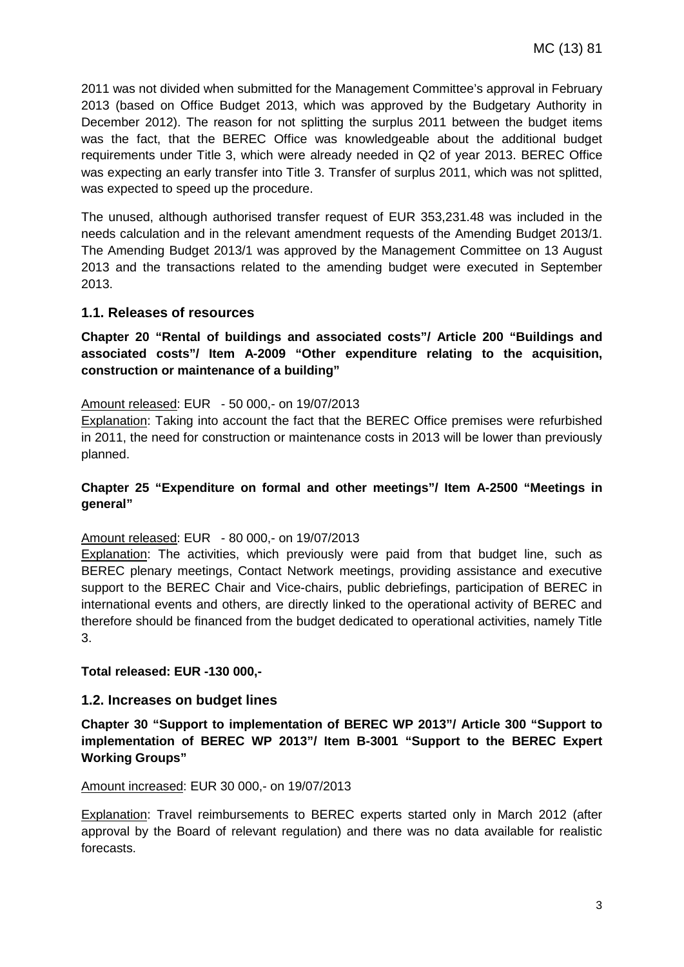2011 was not divided when submitted for the Management Committee's approval in February 2013 (based on Office Budget 2013, which was approved by the Budgetary Authority in December 2012). The reason for not splitting the surplus 2011 between the budget items was the fact, that the BEREC Office was knowledgeable about the additional budget requirements under Title 3, which were already needed in Q2 of year 2013. BEREC Office was expecting an early transfer into Title 3. Transfer of surplus 2011, which was not splitted, was expected to speed up the procedure.

The unused, although authorised transfer request of EUR 353,231.48 was included in the needs calculation and in the relevant amendment requests of the Amending Budget 2013/1. The Amending Budget 2013/1 was approved by the Management Committee on 13 August 2013 and the transactions related to the amending budget were executed in September 2013.

#### **1.1. Releases of resources**

**Chapter 20 "Rental of buildings and associated costs"/ Article 200 "Buildings and associated costs"/ Item A-2009 "Other expenditure relating to the acquisition, construction or maintenance of a building"**

#### Amount released: EUR - 50 000,- on 19/07/2013

Explanation: Taking into account the fact that the BEREC Office premises were refurbished in 2011, the need for construction or maintenance costs in 2013 will be lower than previously planned.

#### **Chapter 25 "Expenditure on formal and other meetings"/ Item A-2500 "Meetings in general"**

#### Amount released: EUR - 80 000,- on 19/07/2013

**Explanation:** The activities, which previously were paid from that budget line, such as BEREC plenary meetings, Contact Network meetings, providing assistance and executive support to the BEREC Chair and Vice-chairs, public debriefings, participation of BEREC in international events and others, are directly linked to the operational activity of BEREC and therefore should be financed from the budget dedicated to operational activities, namely Title 3.

#### **Total released: EUR -130 000,-**

#### **1.2. Increases on budget lines**

**Chapter 30 "Support to implementation of BEREC WP 2013"/ Article 300 "Support to implementation of BEREC WP 2013"/ Item B-3001 "Support to the BEREC Expert Working Groups"**

#### Amount increased: EUR 30 000,- on 19/07/2013

Explanation: Travel reimbursements to BEREC experts started only in March 2012 (after approval by the Board of relevant regulation) and there was no data available for realistic forecasts.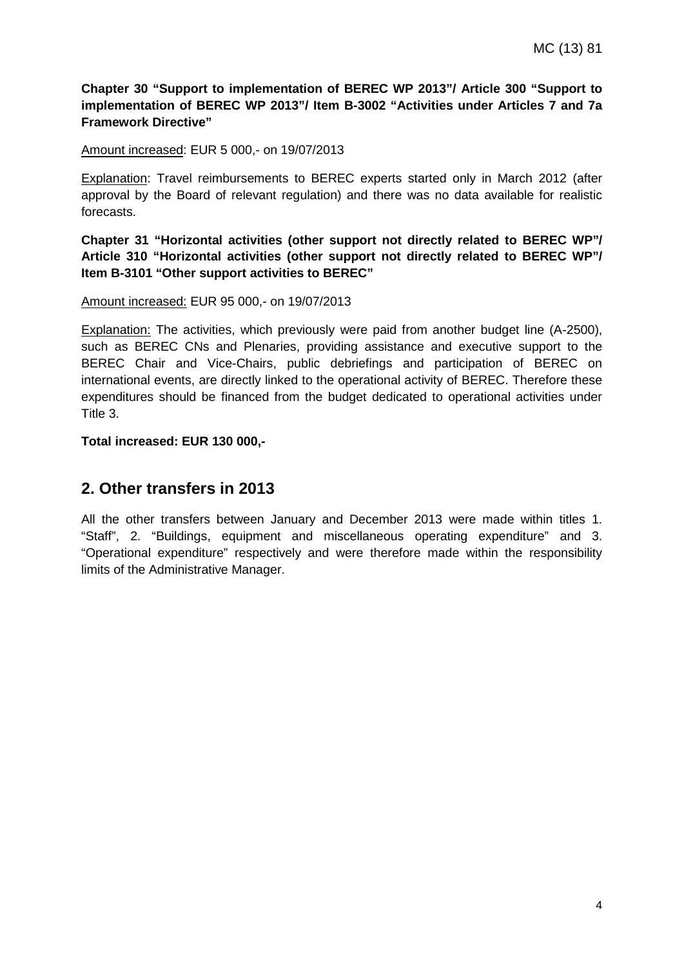#### **Chapter 30 "Support to implementation of BEREC WP 2013"/ Article 300 "Support to implementation of BEREC WP 2013"/ Item B-3002 "Activities under Articles 7 and 7a Framework Directive"**

#### Amount increased: EUR 5 000,- on 19/07/2013

Explanation: Travel reimbursements to BEREC experts started only in March 2012 (after approval by the Board of relevant regulation) and there was no data available for realistic forecasts.

**Chapter 31 "Horizontal activities (other support not directly related to BEREC WP"/ Article 310 "Horizontal activities (other support not directly related to BEREC WP"/ Item B-3101 "Other support activities to BEREC"**

#### Amount increased: EUR 95 000,- on 19/07/2013

Explanation: The activities, which previously were paid from another budget line (A-2500), such as BEREC CNs and Plenaries, providing assistance and executive support to the BEREC Chair and Vice-Chairs, public debriefings and participation of BEREC on international events, are directly linked to the operational activity of BEREC. Therefore these expenditures should be financed from the budget dedicated to operational activities under Title 3.

#### **Total increased: EUR 130 000,-**

### **2. Other transfers in 2013**

All the other transfers between January and December 2013 were made within titles 1. "Staff", 2. "Buildings, equipment and miscellaneous operating expenditure" and 3. "Operational expenditure" respectively and were therefore made within the responsibility limits of the Administrative Manager.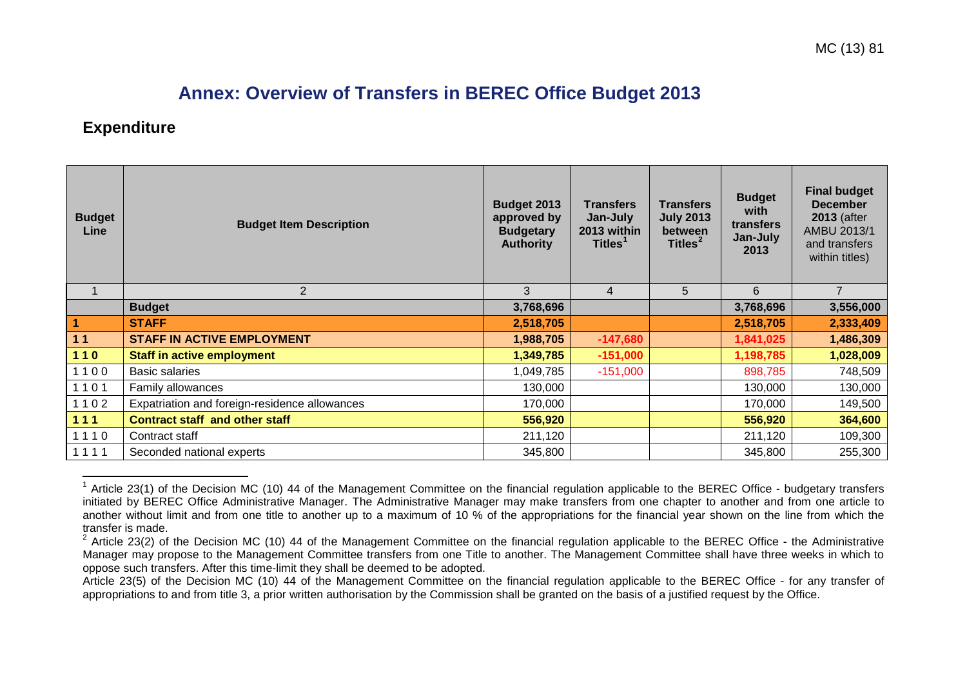## <span id="page-4-1"></span><span id="page-4-0"></span>**Annex: Overview of Transfers in BEREC Office Budget 2013**

### **Expenditure**

| <b>Budget</b><br>Line | <b>Budget Item Description</b>                | <b>Budget 2013</b><br>approved by<br><b>Budgetary</b><br><b>Authority</b> | <b>Transfers</b><br>Jan-July<br>2013 within<br>Titles <sup>1</sup> | <b>Transfers</b><br><b>July 2013</b><br><b>between</b><br>Titles <sup>2</sup> | <b>Budget</b><br>with<br>transfers<br>Jan-July<br>2013 | <b>Final budget</b><br><b>December</b><br><b>2013</b> (after<br>AMBU 2013/1<br>and transfers<br>within titles) |
|-----------------------|-----------------------------------------------|---------------------------------------------------------------------------|--------------------------------------------------------------------|-------------------------------------------------------------------------------|--------------------------------------------------------|----------------------------------------------------------------------------------------------------------------|
| $\mathbf 1$           | 2                                             | 3                                                                         | $\overline{4}$                                                     | 5                                                                             | 6                                                      | $\overline{7}$                                                                                                 |
|                       | <b>Budget</b>                                 | 3,768,696                                                                 |                                                                    |                                                                               | 3,768,696                                              | 3,556,000                                                                                                      |
| $\vert$ 1             | <b>STAFF</b>                                  | 2,518,705                                                                 |                                                                    |                                                                               | 2,518,705                                              | 2,333,409                                                                                                      |
| $11$                  | <b>STAFF IN ACTIVE EMPLOYMENT</b>             | 1,988,705                                                                 | $-147,680$                                                         |                                                                               | 1,841,025                                              | 1,486,309                                                                                                      |
| 110                   | <b>Staff in active employment</b>             | 1,349,785                                                                 | $-151,000$                                                         |                                                                               | 1,198,785                                              | 1,028,009                                                                                                      |
| 1100                  | <b>Basic salaries</b>                         | 1,049,785                                                                 | $-151,000$                                                         |                                                                               | 898,785                                                | 748,509                                                                                                        |
| 1101                  | Family allowances                             | 130,000                                                                   |                                                                    |                                                                               | 130,000                                                | 130,000                                                                                                        |
| 1102                  | Expatriation and foreign-residence allowances | 170,000                                                                   |                                                                    |                                                                               | 170,000                                                | 149,500                                                                                                        |
| 111                   | <b>Contract staff and other staff</b>         | 556,920                                                                   |                                                                    |                                                                               | 556,920                                                | 364,600                                                                                                        |
| 1110                  | Contract staff                                | 211,120                                                                   |                                                                    |                                                                               | 211,120                                                | 109,300                                                                                                        |
| 1111                  | Seconded national experts                     | 345,800                                                                   |                                                                    |                                                                               | 345,800                                                | 255,300                                                                                                        |

 $1$  Article 23(1) of the Decision MC (10) 44 of the Management Committee on the financial regulation applicable to the BEREC Office - budgetary transfers initiated by BEREC Office Administrative Manager. The Administrative Manager may make transfers from one chapter to another and from one article to another without limit and from one title to another up to a maximum of 10 % of the appropriations for the financial year shown on the line from which the transfer is made.

 $2$  Article 23(2) of the Decision MC (10) 44 of the Management Committee on the financial regulation applicable to the BEREC Office - the Administrative Manager may propose to the Management Committee transfers from one Title to another. The Management Committee shall have three weeks in which to oppose such transfers. After this time-limit they shall be deemed to be adopted.

Article 23(5) of the Decision MC (10) 44 of the Management Committee on the financial regulation applicable to the BEREC Office - for any transfer of appropriations to and from title 3, a prior written authorisation by the Commission shall be granted on the basis of a justified request by the Office.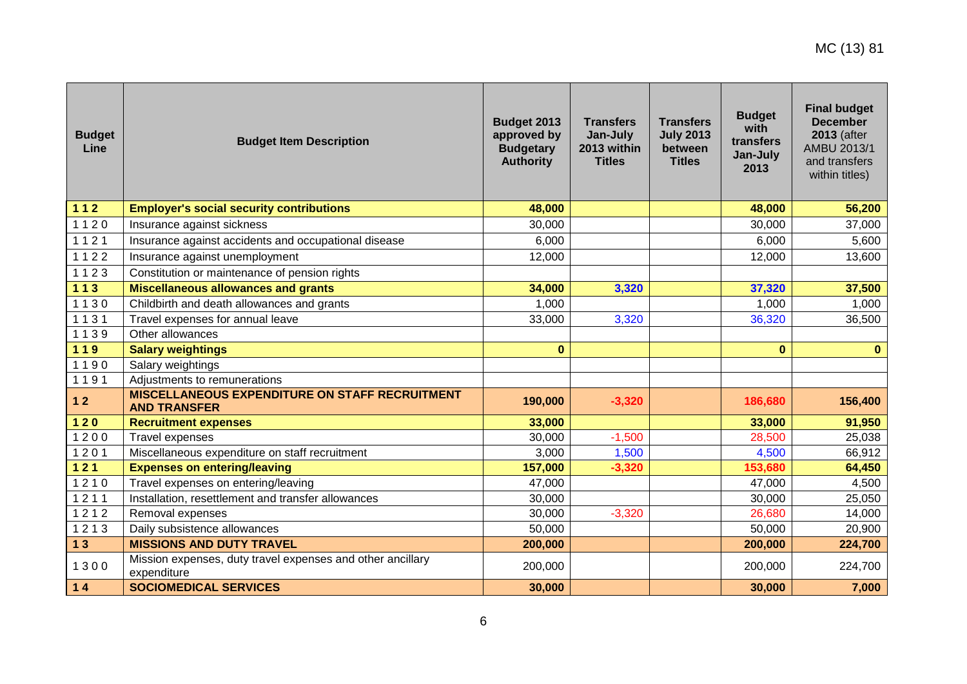| <b>Budget</b><br>Line | <b>Budget Item Description</b>                                               | Budget 2013<br>approved by<br><b>Budgetary</b><br><b>Authority</b> | <b>Transfers</b><br>Jan-July<br>2013 within<br><b>Titles</b> | <b>Transfers</b><br><b>July 2013</b><br>between<br><b>Titles</b> | <b>Budget</b><br>with<br>transfers<br>Jan-July<br>2013 | <b>Final budget</b><br><b>December</b><br>2013 (after<br>AMBU 2013/1<br>and transfers<br>within titles) |
|-----------------------|------------------------------------------------------------------------------|--------------------------------------------------------------------|--------------------------------------------------------------|------------------------------------------------------------------|--------------------------------------------------------|---------------------------------------------------------------------------------------------------------|
| $112$                 | <b>Employer's social security contributions</b>                              | 48,000                                                             |                                                              |                                                                  | 48,000                                                 | 56,200                                                                                                  |
| 1120                  | Insurance against sickness                                                   | 30,000                                                             |                                                              |                                                                  | 30,000                                                 | 37,000                                                                                                  |
| 1121                  | Insurance against accidents and occupational disease                         | 6,000                                                              |                                                              |                                                                  | 6,000                                                  | 5,600                                                                                                   |
| 1122                  | Insurance against unemployment                                               | 12,000                                                             |                                                              |                                                                  | 12,000                                                 | 13,600                                                                                                  |
| 1123                  | Constitution or maintenance of pension rights                                |                                                                    |                                                              |                                                                  |                                                        |                                                                                                         |
| $113$                 | <b>Miscellaneous allowances and grants</b>                                   | 34,000                                                             | 3,320                                                        |                                                                  | 37,320                                                 | 37,500                                                                                                  |
| 1130                  | Childbirth and death allowances and grants                                   | 1,000                                                              |                                                              |                                                                  | 1,000                                                  | 1,000                                                                                                   |
| 1131                  | Travel expenses for annual leave                                             | 33,000                                                             | 3,320                                                        |                                                                  | 36,320                                                 | 36,500                                                                                                  |
| 1139                  | Other allowances                                                             |                                                                    |                                                              |                                                                  |                                                        |                                                                                                         |
| 119                   | <b>Salary weightings</b>                                                     | $\mathbf 0$                                                        |                                                              |                                                                  | $\mathbf{0}$                                           | $\mathbf{0}$                                                                                            |
| 1190                  | Salary weightings                                                            |                                                                    |                                                              |                                                                  |                                                        |                                                                                                         |
| 1191                  | Adjustments to remunerations                                                 |                                                                    |                                                              |                                                                  |                                                        |                                                                                                         |
| $12$                  | <b>MISCELLANEOUS EXPENDITURE ON STAFF RECRUITMENT</b><br><b>AND TRANSFER</b> | 190,000                                                            | $-3,320$                                                     |                                                                  | 186,680                                                | 156,400                                                                                                 |
| $120$                 | <b>Recruitment expenses</b>                                                  | 33,000                                                             |                                                              |                                                                  | 33,000                                                 | 91,950                                                                                                  |
| 1200                  | <b>Travel expenses</b>                                                       | 30,000                                                             | $-1,500$                                                     |                                                                  | 28,500                                                 | 25,038                                                                                                  |
| 1201                  | Miscellaneous expenditure on staff recruitment                               | 3,000                                                              | 1,500                                                        |                                                                  | 4,500                                                  | 66,912                                                                                                  |
| $121$                 | <b>Expenses on entering/leaving</b>                                          | 157,000                                                            | $-3,320$                                                     |                                                                  | 153,680                                                | 64,450                                                                                                  |
| 1210                  | Travel expenses on entering/leaving                                          | 47,000                                                             |                                                              |                                                                  | 47,000                                                 | 4,500                                                                                                   |
| 1211                  | Installation, resettlement and transfer allowances                           | 30,000                                                             |                                                              |                                                                  | 30,000                                                 | 25,050                                                                                                  |
| 1212                  | Removal expenses                                                             | 30,000                                                             | $-3,320$                                                     |                                                                  | 26,680                                                 | 14,000                                                                                                  |
| 1213                  | Daily subsistence allowances                                                 | 50,000                                                             |                                                              |                                                                  | 50,000                                                 | 20,900                                                                                                  |
| 13                    | <b>MISSIONS AND DUTY TRAVEL</b>                                              | 200,000                                                            |                                                              |                                                                  | 200,000                                                | 224,700                                                                                                 |
| 1300                  | Mission expenses, duty travel expenses and other ancillary<br>expenditure    | 200,000                                                            |                                                              |                                                                  | 200,000                                                | 224,700                                                                                                 |
| $14$                  | <b>SOCIOMEDICAL SERVICES</b>                                                 | 30,000                                                             |                                                              |                                                                  | 30,000                                                 | 7,000                                                                                                   |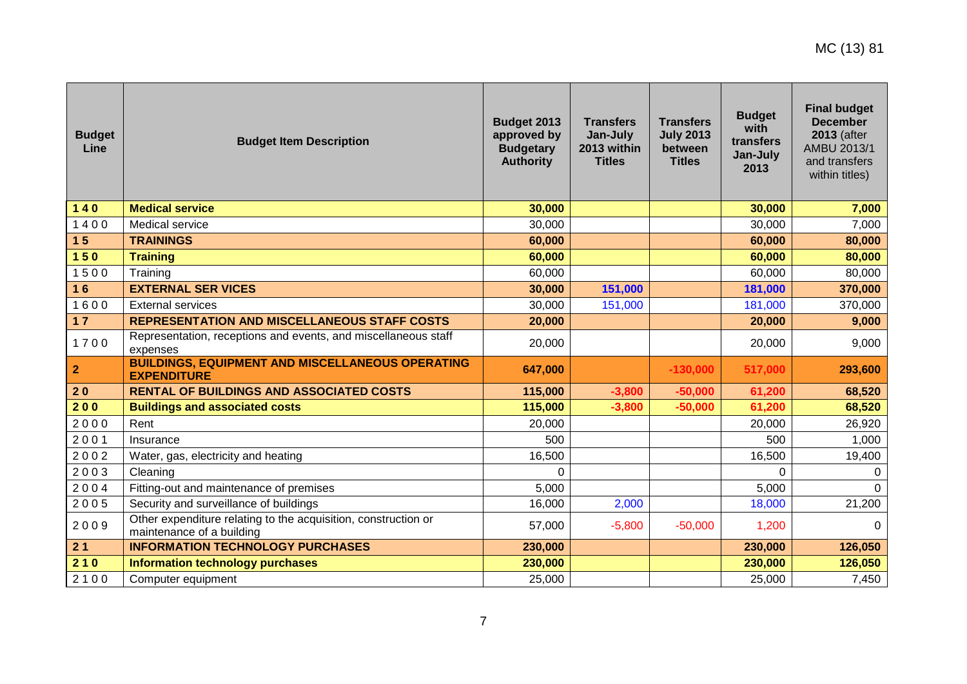| <b>Budget</b><br>Line | <b>Budget Item Description</b>                                                              | Budget 2013<br>approved by<br><b>Budgetary</b><br><b>Authority</b> | <b>Transfers</b><br>Jan-July<br>2013 within<br><b>Titles</b> | <b>Transfers</b><br><b>July 2013</b><br>between<br><b>Titles</b> | <b>Budget</b><br>with<br>transfers<br>Jan-July<br>2013 | <b>Final budget</b><br><b>December</b><br>2013 (after<br>AMBU 2013/1<br>and transfers<br>within titles) |
|-----------------------|---------------------------------------------------------------------------------------------|--------------------------------------------------------------------|--------------------------------------------------------------|------------------------------------------------------------------|--------------------------------------------------------|---------------------------------------------------------------------------------------------------------|
| $140$                 | <b>Medical service</b>                                                                      | 30,000                                                             |                                                              |                                                                  | 30,000                                                 | 7,000                                                                                                   |
| 1400                  | Medical service                                                                             | 30,000                                                             |                                                              |                                                                  | 30,000                                                 | 7,000                                                                                                   |
| 15                    | <b>TRAININGS</b>                                                                            | 60,000                                                             |                                                              |                                                                  | 60,000                                                 | 80,000                                                                                                  |
| $150$                 | <b>Training</b>                                                                             | 60,000                                                             |                                                              |                                                                  | 60,000                                                 | 80,000                                                                                                  |
| 1500                  | Training                                                                                    | 60,000                                                             |                                                              |                                                                  | 60,000                                                 | 80,000                                                                                                  |
| 16                    | <b>EXTERNAL SER VICES</b>                                                                   | 30,000                                                             | 151,000                                                      |                                                                  | 181,000                                                | 370,000                                                                                                 |
| 1600                  | <b>External services</b>                                                                    | 30,000                                                             | 151,000                                                      |                                                                  | 181,000                                                | 370,000                                                                                                 |
| 17                    | <b>REPRESENTATION AND MISCELLANEOUS STAFF COSTS</b>                                         | 20,000                                                             |                                                              |                                                                  | 20,000                                                 | 9,000                                                                                                   |
| 1700                  | Representation, receptions and events, and miscellaneous staff<br>expenses                  | 20,000                                                             |                                                              |                                                                  | 20,000                                                 | 9,000                                                                                                   |
| $\mathbf{2}$          | <b>BUILDINGS, EQUIPMENT AND MISCELLANEOUS OPERATING</b><br><b>EXPENDITURE</b>               | 647,000                                                            |                                                              | $-130,000$                                                       | 517,000                                                | 293,600                                                                                                 |
| 20                    | <b>RENTAL OF BUILDINGS AND ASSOCIATED COSTS</b>                                             | 115,000                                                            | $-3,800$                                                     | $-50,000$                                                        | 61,200                                                 | 68,520                                                                                                  |
| 200                   | <b>Buildings and associated costs</b>                                                       | 115,000                                                            | $-3,800$                                                     | $-50,000$                                                        | 61,200                                                 | 68,520                                                                                                  |
| 2000                  | Rent                                                                                        | 20,000                                                             |                                                              |                                                                  | 20,000                                                 | 26,920                                                                                                  |
| 2001                  | Insurance                                                                                   | 500                                                                |                                                              |                                                                  | 500                                                    | 1,000                                                                                                   |
| 2002                  | Water, gas, electricity and heating                                                         | 16,500                                                             |                                                              |                                                                  | 16,500                                                 | 19,400                                                                                                  |
| 2003                  | Cleaning                                                                                    | $\overline{0}$                                                     |                                                              |                                                                  | $\Omega$                                               | $\Omega$                                                                                                |
| 2004                  | Fitting-out and maintenance of premises                                                     | 5,000                                                              |                                                              |                                                                  | 5,000                                                  | $\Omega$                                                                                                |
| 2005                  | Security and surveillance of buildings                                                      | 16,000                                                             | 2,000                                                        |                                                                  | 18,000                                                 | 21,200                                                                                                  |
| 2009                  | Other expenditure relating to the acquisition, construction or<br>maintenance of a building | 57,000                                                             | $-5,800$                                                     | $-50,000$                                                        | 1,200                                                  | $\Omega$                                                                                                |
| 21                    | <b>INFORMATION TECHNOLOGY PURCHASES</b>                                                     | 230,000                                                            |                                                              |                                                                  | 230,000                                                | 126,050                                                                                                 |
| 210                   | <b>Information technology purchases</b>                                                     | 230,000                                                            |                                                              |                                                                  | 230,000                                                | 126,050                                                                                                 |
| 2100                  | Computer equipment                                                                          | 25,000                                                             |                                                              |                                                                  | 25,000                                                 | 7,450                                                                                                   |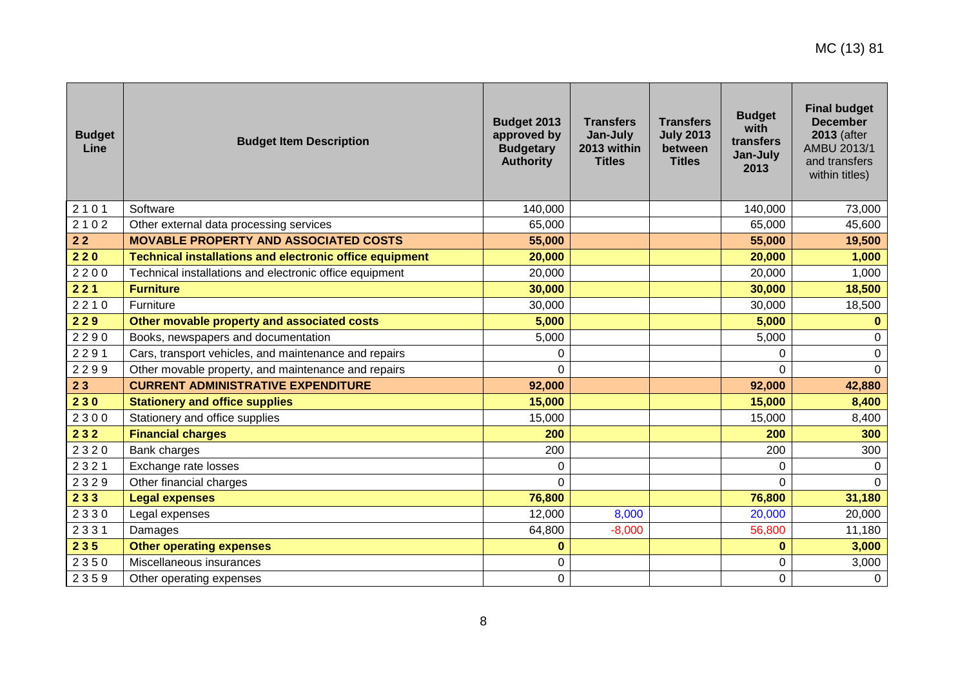| <b>Budget</b><br>Line | <b>Budget Item Description</b>                                 | Budget 2013<br>approved by<br><b>Budgetary</b><br><b>Authority</b> | <b>Transfers</b><br>Jan-July<br>2013 within<br><b>Titles</b> | <b>Transfers</b><br><b>July 2013</b><br>between<br><b>Titles</b> | <b>Budget</b><br>with<br>transfers<br>Jan-July<br>2013 | <b>Final budget</b><br><b>December</b><br>2013 (after<br>AMBU 2013/1<br>and transfers<br>within titles) |
|-----------------------|----------------------------------------------------------------|--------------------------------------------------------------------|--------------------------------------------------------------|------------------------------------------------------------------|--------------------------------------------------------|---------------------------------------------------------------------------------------------------------|
| 2101                  | Software                                                       | 140,000                                                            |                                                              |                                                                  | 140,000                                                | 73,000                                                                                                  |
| 2102                  | Other external data processing services                        | 65,000                                                             |                                                              |                                                                  | 65,000                                                 | 45,600                                                                                                  |
| $22$                  | <b>MOVABLE PROPERTY AND ASSOCIATED COSTS</b>                   | 55,000                                                             |                                                              |                                                                  | 55,000                                                 | 19,500                                                                                                  |
| 220                   | <b>Technical installations and electronic office equipment</b> | 20,000                                                             |                                                              |                                                                  | 20,000                                                 | 1,000                                                                                                   |
| 2200                  | Technical installations and electronic office equipment        | 20,000                                                             |                                                              |                                                                  | 20,000                                                 | 1,000                                                                                                   |
| 221                   | <b>Furniture</b>                                               | 30,000                                                             |                                                              |                                                                  | 30,000                                                 | 18,500                                                                                                  |
| 2210                  | Furniture                                                      | 30,000                                                             |                                                              |                                                                  | 30,000                                                 | 18,500                                                                                                  |
| 229                   | Other movable property and associated costs                    | 5,000                                                              |                                                              |                                                                  | 5,000                                                  | $\bf{0}$                                                                                                |
| 2290                  | Books, newspapers and documentation                            | 5,000                                                              |                                                              |                                                                  | 5,000                                                  | $\mathbf 0$                                                                                             |
| 2291                  | Cars, transport vehicles, and maintenance and repairs          | 0                                                                  |                                                              |                                                                  | 0                                                      | $\mathbf 0$                                                                                             |
| 2299                  | Other movable property, and maintenance and repairs            | $\Omega$                                                           |                                                              |                                                                  | $\Omega$                                               | $\Omega$                                                                                                |
| 23                    | <b>CURRENT ADMINISTRATIVE EXPENDITURE</b>                      | 92,000                                                             |                                                              |                                                                  | 92,000                                                 | 42,880                                                                                                  |
| 230                   | <b>Stationery and office supplies</b>                          | 15,000                                                             |                                                              |                                                                  | 15,000                                                 | 8,400                                                                                                   |
| 2300                  | Stationery and office supplies                                 | 15,000                                                             |                                                              |                                                                  | 15,000                                                 | 8,400                                                                                                   |
| 232                   | <b>Financial charges</b>                                       | 200                                                                |                                                              |                                                                  | 200                                                    | 300                                                                                                     |
| 2320                  | Bank charges                                                   | 200                                                                |                                                              |                                                                  | 200                                                    | 300                                                                                                     |
| 2321                  | Exchange rate losses                                           | $\Omega$                                                           |                                                              |                                                                  | $\Omega$                                               | $\Omega$                                                                                                |
| 2329                  | Other financial charges                                        | $\Omega$                                                           |                                                              |                                                                  | $\Omega$                                               | $\Omega$                                                                                                |
| 233                   | <b>Legal expenses</b>                                          | 76,800                                                             |                                                              |                                                                  | 76,800                                                 | 31,180                                                                                                  |
| 2330                  | Legal expenses                                                 | 12,000                                                             | 8,000                                                        |                                                                  | 20,000                                                 | 20,000                                                                                                  |
| 2331                  | Damages                                                        | 64,800                                                             | $-8,000$                                                     |                                                                  | 56,800                                                 | 11,180                                                                                                  |
| 235                   | <b>Other operating expenses</b>                                | $\bf{0}$                                                           |                                                              |                                                                  | $\bf{0}$                                               | 3,000                                                                                                   |
| 2350                  | Miscellaneous insurances                                       | 0                                                                  |                                                              |                                                                  | 0                                                      | 3,000                                                                                                   |
| 2359                  | Other operating expenses                                       | $\pmb{0}$                                                          |                                                              |                                                                  | 0                                                      | $\boldsymbol{0}$                                                                                        |